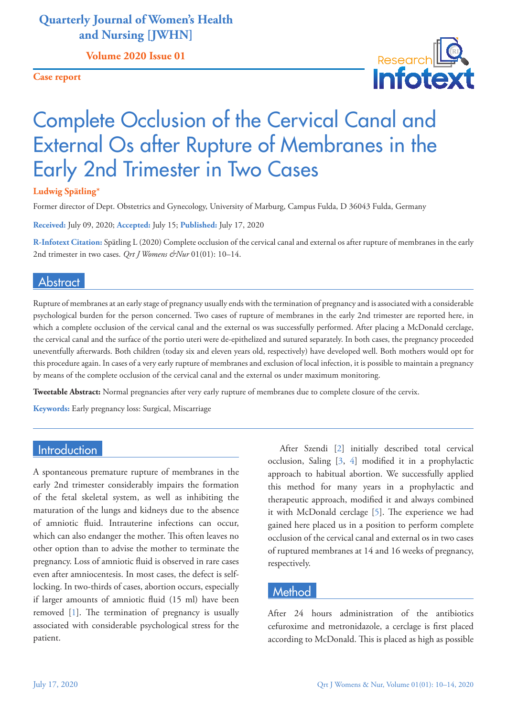# **Quarterly Journal of Women's Health and Nursing [JWHN]**

**Volume 2020 Issue 01**

**Case report**



# Complete Occlusion of the Cervical Canal and External Os after Rupture of Membranes in the Early 2nd Trimester in Two Cases

#### **Ludwig Spätling\***

Former director of Dept. Obstetrics and Gynecology, University of Marburg, Campus Fulda, D 36043 Fulda, Germany

**Received:** July 09, 2020; **Accepted:** July 15; **Published:** July 17, 2020

**R-Infotext Citation:** Spätling L (2020) Complete occlusion of the cervical canal and external os after rupture of membranes in the early 2nd trimester in two cases. *Qrt J Womens &Nur* 01(01): 10-14.

### **Abstract**

Rupture of membranes at an early stage of pregnancy usually ends with the termination of pregnancy and is associated with a considerable psychological burden for the person concerned. Two cases of rupture of membranes in the early 2nd trimester are reported here, in which a complete occlusion of the cervical canal and the external os was successfully performed. After placing a McDonald cerclage, the cervical canal and the surface of the portio uteri were de-epithelized and sutured separately. In both cases, the pregnancy proceeded uneventfully afterwards. Both children (today six and eleven years old, respectively) have developed well. Both mothers would opt for this procedure again. In cases of a very early rupture of membranes and exclusion of local infection, it is possible to maintain a pregnancy by means of the complete occlusion of the cervical canal and the external os under maximum monitoring.

**Tweetable Abstract:** Normal pregnancies after very early rupture of membranes due to complete closure of the cervix.

**Keywords:** Early pregnancy loss: Surgical, Miscarriage

# **Introduction**

A spontaneous premature rupture of membranes in the early 2nd trimester considerably impairs the formation of the fetal skeletal system, as well as inhibiting the maturation of the lungs and kidneys due to the absence of amniotic fluid. Intrauterine infections can occur, which can also endanger the mother. This often leaves no other option than to advise the mother to terminate the pregnancy. Loss of amniotic fluid is observed in rare cases even after amniocentesis. In most cases, the defect is selflocking. In two-thirds of cases, abortion occurs, especially if larger amounts of amniotic fluid (15 ml) have been removed [[1](#page-3-0)]. The termination of pregnancy is usually associated with considerable psychological stress for the patient.

After Szendi [[2](#page-3-1)] initially described total cervical occlusion, Saling [\[3,](#page-4-0) [4](#page-4-1)] modified it in a prophylactic approach to habitual abortion. We successfully applied this method for many years in a prophylactic and therapeutic approach, modified it and always combined it with McDonald cerclage [[5](#page-4-2)]. The experience we had gained here placed us in a position to perform complete occlusion of the cervical canal and external os in two cases of ruptured membranes at 14 and 16 weeks of pregnancy, respectively.

# **Method**

After 24 hours administration of the antibiotics cefuroxime and metronidazole, a cerclage is first placed according to McDonald. This is placed as high as possible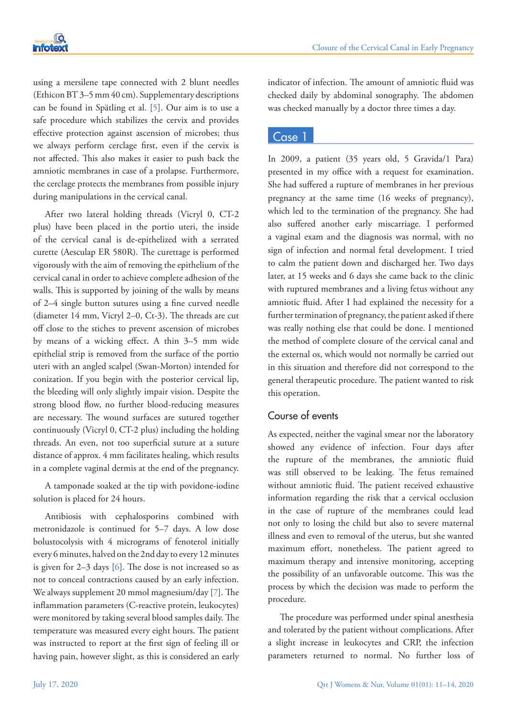

using a mersilene tape connected with 2 blunt needles (Ethicon BT 3–5 mm 40 cm). Supplementary descriptions can be found in Spätling et al. [[5](#page-4-2)]. Our aim is to use a safe procedure which stabilizes the cervix and provides effective protection against ascension of microbes; thus we always perform cerclage first, even if the cervix is not affected. This also makes it easier to push back the amniotic membranes in case of a prolapse. Furthermore, the cerclage protects the membranes from possible injury during manipulations in the cervical canal.

After two lateral holding threads (Vicryl 0, CT-2 plus) have been placed in the portio uteri, the inside of the cervical canal is de-epithelized with a serrated curette (Aesculap ER 580R). The curettage is performed vigorously with the aim of removing the epithelium of the cervical canal in order to achieve complete adhesion of the walls. This is supported by joining of the walls by means of 2–4 single button sutures using a fine curved needle (diameter 14 mm, Vicryl 2–0, Ct-3). The threads are cut off close to the stiches to prevent ascension of microbes by means of a wicking effect. A thin 3–5 mm wide epithelial strip is removed from the surface of the portio uteri with an angled scalpel (Swan-Morton) intended for conization. If you begin with the posterior cervical lip, the bleeding will only slightly impair vision. Despite the strong blood flow, no further blood-reducing measures are necessary. The wound surfaces are sutured together continuously (Vicryl 0, CT-2 plus) including the holding threads. An even, not too superficial suture at a suture distance of approx. 4 mm facilitates healing, which results in a complete vaginal dermis at the end of the pregnancy.

A tamponade soaked at the tip with povidone-iodine solution is placed for 24 hours.

Antibiosis with cephalosporins combined with metronidazole is continued for 5–7 days. A low dose bolustocolysis with 4 micrograms of fenoterol initially every 6 minutes, halved on the 2nd day to every 12 minutes is given for 2–3 days [[6](#page-4-3)]. The dose is not increased so as not to conceal contractions caused by an early infection. We always supplement 20 mmol magnesium/day [[7](#page-4-4)]. The inflammation parameters (C-reactive protein, leukocytes) were monitored by taking several blood samples daily. The temperature was measured every eight hours. The patient was instructed to report at the first sign of feeling ill or having pain, however slight, as this is considered an early

indicator of infection. The amount of amniotic fluid was checked daily by abdominal sonography. The abdomen was checked manually by a doctor three times a day.

#### Case 1

In 2009, a patient (35 years old, 5 Gravida/1 Para) presented in my office with a request for examination. She had suffered a rupture of membranes in her previous pregnancy at the same time (16 weeks of pregnancy), which led to the termination of the pregnancy. She had also suffered another early miscarriage. I performed a vaginal exam and the diagnosis was normal, with no sign of infection and normal fetal development. I tried to calm the patient down and discharged her. Two days later, at 15 weeks and 6 days she came back to the clinic with ruptured membranes and a living fetus without any amniotic fluid. After I had explained the necessity for a further termination of pregnancy, the patient asked if there was really nothing else that could be done. I mentioned the method of complete closure of the cervical canal and the external os, which would not normally be carried out in this situation and therefore did not correspond to the general therapeutic procedure. The patient wanted to risk this operation.

### Course of events

As expected, neither the vaginal smear nor the laboratory showed any evidence of infection. Four days after the rupture of the membranes, the amniotic fluid was still observed to be leaking. The fetus remained without amniotic fluid. The patient received exhaustive information regarding the risk that a cervical occlusion in the case of rupture of the membranes could lead not only to losing the child but also to severe maternal illness and even to removal of the uterus, but she wanted maximum effort, nonetheless. The patient agreed to maximum therapy and intensive monitoring, accepting the possibility of an unfavorable outcome. This was the process by which the decision was made to perform the procedure.

The procedure was performed under spinal anesthesia and tolerated by the patient without complications. After a slight increase in leukocytes and CRP, the infection parameters returned to normal. No further loss of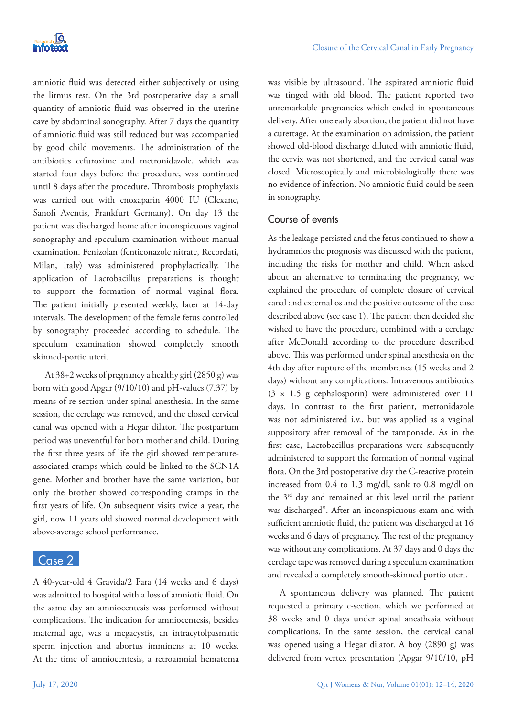

amniotic fluid was detected either subjectively or using the litmus test. On the 3rd postoperative day a small quantity of amniotic fluid was observed in the uterine cave by abdominal sonography. After 7 days the quantity of amniotic fluid was still reduced but was accompanied by good child movements. The administration of the antibiotics cefuroxime and metronidazole, which was started four days before the procedure, was continued until 8 days after the procedure. Thrombosis prophylaxis was carried out with enoxaparin 4000 IU (Clexane, Sanofi Aventis, Frankfurt Germany). On day 13 the patient was discharged home after inconspicuous vaginal sonography and speculum examination without manual examination. Fenizolan (fenticonazole nitrate, Recordati, Milan, Italy) was administered prophylactically. The application of Lactobacillus preparations is thought to support the formation of normal vaginal flora. The patient initially presented weekly, later at 14-day intervals. The development of the female fetus controlled by sonography proceeded according to schedule. The speculum examination showed completely smooth skinned-portio uteri.

At 38+2 weeks of pregnancy a healthy girl (2850 g) was born with good Apgar (9/10/10) and pH-values (7.37) by means of re-section under spinal anesthesia. In the same session, the cerclage was removed, and the closed cervical canal was opened with a Hegar dilator. The postpartum period was uneventful for both mother and child. During the first three years of life the girl showed temperatureassociated cramps which could be linked to the SCN1A gene. Mother and brother have the same variation, but only the brother showed corresponding cramps in the first years of life. On subsequent visits twice a year, the girl, now 11 years old showed normal development with above-average school performance.

## Case 2

A 40-year-old 4 Gravida/2 Para (14 weeks and 6 days) was admitted to hospital with a loss of amniotic fluid. On the same day an amniocentesis was performed without complications. The indication for amniocentesis, besides maternal age, was a megacystis, an intracytolpasmatic sperm injection and abortus imminens at 10 weeks. At the time of amniocentesis, a retroamnial hematoma was visible by ultrasound. The aspirated amniotic fluid was tinged with old blood. The patient reported two unremarkable pregnancies which ended in spontaneous delivery. After one early abortion, the patient did not have a curettage. At the examination on admission, the patient showed old-blood discharge diluted with amniotic fluid, the cervix was not shortened, and the cervical canal was closed. Microscopically and microbiologically there was no evidence of infection. No amniotic fluid could be seen in sonography.

# Course of events

As the leakage persisted and the fetus continued to show a hydramnios the prognosis was discussed with the patient, including the risks for mother and child. When asked about an alternative to terminating the pregnancy, we explained the procedure of complete closure of cervical canal and external os and the positive outcome of the case described above (see case 1). The patient then decided she wished to have the procedure, combined with a cerclage after McDonald according to the procedure described above. This was performed under spinal anesthesia on the 4th day after rupture of the membranes (15 weeks and 2 days) without any complications. Intravenous antibiotics  $(3 \times 1.5 \text{ g cephalosporin})$  were administered over 11 days. In contrast to the first patient, metronidazole was not administered i.v., but was applied as a vaginal suppository after removal of the tamponade. As in the first case, Lactobacillus preparations were subsequently administered to support the formation of normal vaginal flora. On the 3rd postoperative day the C-reactive protein increased from 0.4 to 1.3 mg/dl, sank to 0.8 mg/dl on the 3rd day and remained at this level until the patient was discharged". After an inconspicuous exam and with sufficient amniotic fluid, the patient was discharged at 16 weeks and 6 days of pregnancy. The rest of the pregnancy was without any complications. At 37 days and 0 days the cerclage tape was removed during a speculum examination and revealed a completely smooth-skinned portio uteri.

A spontaneous delivery was planned. The patient requested a primary c-section, which we performed at 38 weeks and 0 days under spinal anesthesia without complications. In the same session, the cervical canal was opened using a Hegar dilator. A boy (2890 g) was delivered from vertex presentation (Apgar 9/10/10, pH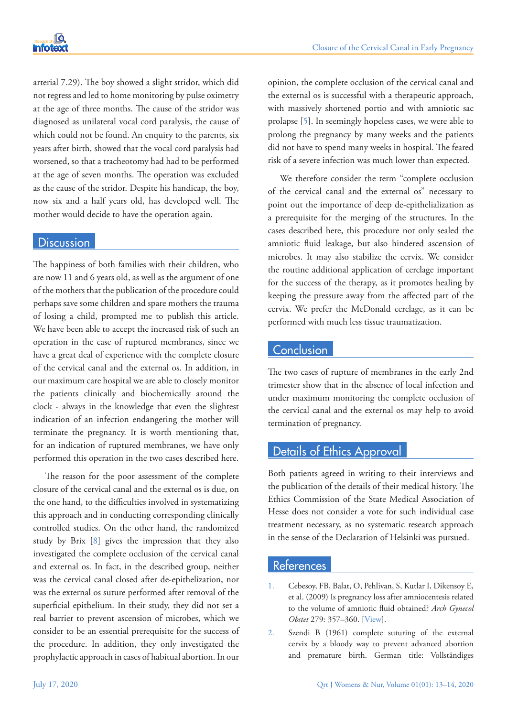arterial 7.29). The boy showed a slight stridor, which did not regress and led to home monitoring by pulse oximetry at the age of three months. The cause of the stridor was diagnosed as unilateral vocal cord paralysis, the cause of which could not be found. An enquiry to the parents, six years after birth, showed that the vocal cord paralysis had worsened, so that a tracheotomy had had to be performed at the age of seven months. The operation was excluded as the cause of the stridor. Despite his handicap, the boy, now six and a half years old, has developed well. The mother would decide to have the operation again.

#### **Discussion**

The happiness of both families with their children, who are now 11 and 6 years old, as well as the argument of one of the mothers that the publication of the procedure could perhaps save some children and spare mothers the trauma of losing a child, prompted me to publish this article. We have been able to accept the increased risk of such an operation in the case of ruptured membranes, since we have a great deal of experience with the complete closure of the cervical canal and the external os. In addition, in our maximum care hospital we are able to closely monitor the patients clinically and biochemically around the clock - always in the knowledge that even the slightest indication of an infection endangering the mother will terminate the pregnancy. It is worth mentioning that, for an indication of ruptured membranes, we have only performed this operation in the two cases described here.

The reason for the poor assessment of the complete closure of the cervical canal and the external os is due, on the one hand, to the difficulties involved in systematizing this approach and in conducting corresponding clinically controlled studies. On the other hand, the randomized study by Brix [\[8\]](#page-4-5) gives the impression that they also investigated the complete occlusion of the cervical canal and external os. In fact, in the described group, neither was the cervical canal closed after de-epithelization, nor was the external os suture performed after removal of the superficial epithelium. In their study, they did not set a real barrier to prevent ascension of microbes, which we consider to be an essential prerequisite for the success of the procedure. In addition, they only investigated the prophylactic approach in cases of habitual abortion. In our opinion, the complete occlusion of the cervical canal and the external os is successful with a therapeutic approach, with massively shortened portio and with amniotic sac prolapse [\[5\]](#page-4-2). In seemingly hopeless cases, we were able to prolong the pregnancy by many weeks and the patients did not have to spend many weeks in hospital. The feared risk of a severe infection was much lower than expected.

We therefore consider the term "complete occlusion of the cervical canal and the external os" necessary to point out the importance of deep de-epithelialization as a prerequisite for the merging of the structures. In the cases described here, this procedure not only sealed the amniotic fluid leakage, but also hindered ascension of microbes. It may also stabilize the cervix. We consider the routine additional application of cerclage important for the success of the therapy, as it promotes healing by keeping the pressure away from the affected part of the cervix. We prefer the McDonald cerclage, as it can be performed with much less tissue traumatization.

#### **Conclusion**

The two cases of rupture of membranes in the early 2nd trimester show that in the absence of local infection and under maximum monitoring the complete occlusion of the cervical canal and the external os may help to avoid termination of pregnancy.

### Details of Ethics Approval

Both patients agreed in writing to their interviews and the publication of the details of their medical history. The Ethics Commission of the State Medical Association of Hesse does not consider a vote for such individual case treatment necessary, as no systematic research approach in the sense of the Declaration of Helsinki was pursued.

#### References

- <span id="page-3-0"></span>1. Cebesoy, FB, Balat, O, Pehlivan, S, Kutlar I, Dikensoy E, et al. (2009) Is pregnancy loss after amniocentesis related to the volume of amniotic fluid obtained? *Arch Gynecol Obstet* 279: 357–360. [[View\]](https://doi.org/10.1007/s00404-008-0740-2).
- <span id="page-3-1"></span>2. Szendi B (1961) complete suturing of the external cervix by a bloody way to prevent advanced abortion and premature birth. German title: Vollständiges